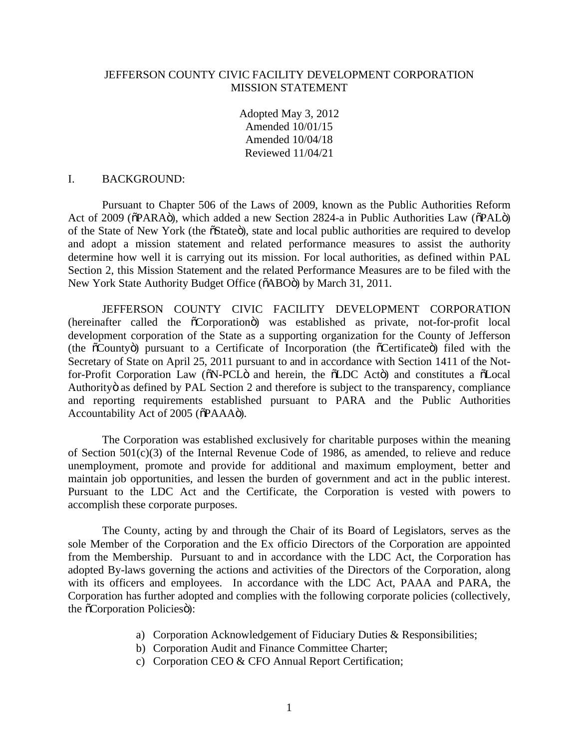## JEFFERSON COUNTY CIVIC FACILITY DEVELOPMENT CORPORATION MISSION STATEMENT

Adopted May 3, 2012 Amended 10/01/15 Amended 10/04/18 Reviewed 11/04/21

## I. BACKGROUND:

Pursuant to Chapter 506 of the Laws of 2009, known as the Public Authorities Reform Act of 2009 ( $\delta$ PARA $\ddot{o}$ ), which added a new Section 2824-a in Public Authorities Law ( $\delta$ PAL $\ddot{o}$ ) of the State of New York (the  $\tilde{o}$ State $\tilde{o}$ ), state and local public authorities are required to develop and adopt a mission statement and related performance measures to assist the authority determine how well it is carrying out its mission. For local authorities, as defined within PAL Section 2, this Mission Statement and the related Performance Measures are to be filed with the New York State Authority Budget Office ( $\tilde{o}$ ABO $\tilde{o}$ ) by March 31, 2011.

JEFFERSON COUNTY CIVIC FACILITY DEVELOPMENT CORPORATION (hereinafter called the  $\tilde{o}$ Corporation $\ddot{o}$ ) was established as private, not-for-profit local development corporation of the State as a supporting organization for the County of Jefferson (the  $\tilde{\text{o}}$ Countyo) pursuant to a Certificate of Incorporation (the  $\tilde{\text{o}}$ Certificate) filed with the Secretary of State on April 25, 2011 pursuant to and in accordance with Section 1411 of the Notfor-Profit Corporation Law ( $\delta$ N-PCL $\ddot{o}$  and herein, the  $\delta$ LDC Act $\ddot{o}$ ) and constitutes a  $\ddot{o}$ Local Authority as defined by PAL Section 2 and therefore is subject to the transparency, compliance and reporting requirements established pursuant to PARA and the Public Authorities Accountability Act of 2005 ( $\delta$ PAAAö).

The Corporation was established exclusively for charitable purposes within the meaning of Section 501(c)(3) of the Internal Revenue Code of 1986, as amended, to relieve and reduce unemployment, promote and provide for additional and maximum employment, better and maintain job opportunities, and lessen the burden of government and act in the public interest. Pursuant to the LDC Act and the Certificate, the Corporation is vested with powers to accomplish these corporate purposes.

The County, acting by and through the Chair of its Board of Legislators, serves as the sole Member of the Corporation and the Ex officio Directors of the Corporation are appointed from the Membership. Pursuant to and in accordance with the LDC Act, the Corporation has adopted By-laws governing the actions and activities of the Directors of the Corporation, along with its officers and employees. In accordance with the LDC Act, PAAA and PARA, the Corporation has further adopted and complies with the following corporate policies (collectively, the  $\tilde{c}$ Corporation Policies $\tilde{c}$ ):

- a) Corporation Acknowledgement of Fiduciary Duties & Responsibilities;
- b) Corporation Audit and Finance Committee Charter;
- c) Corporation CEO & CFO Annual Report Certification;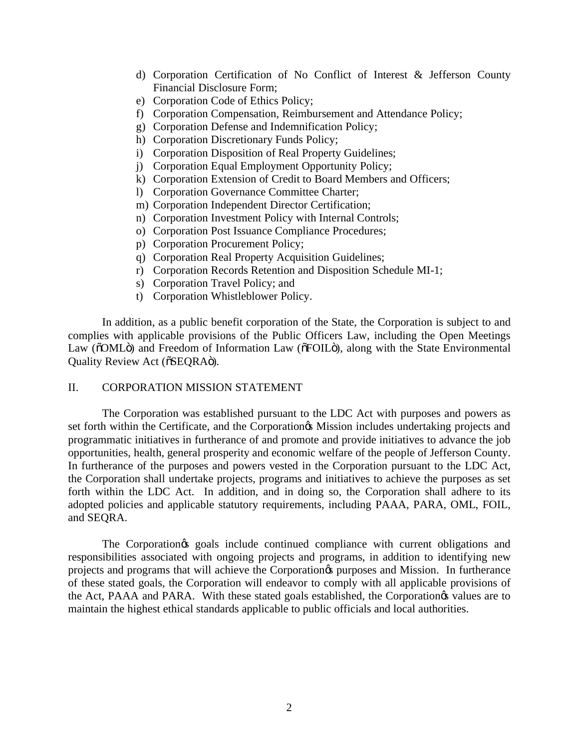- d) Corporation Certification of No Conflict of Interest & Jefferson County Financial Disclosure Form;
- e) Corporation Code of Ethics Policy;
- f) Corporation Compensation, Reimbursement and Attendance Policy;
- g) Corporation Defense and Indemnification Policy;
- h) Corporation Discretionary Funds Policy;
- i) Corporation Disposition of Real Property Guidelines;
- j) Corporation Equal Employment Opportunity Policy;
- k) Corporation Extension of Credit to Board Members and Officers;
- l) Corporation Governance Committee Charter;
- m) Corporation Independent Director Certification;
- n) Corporation Investment Policy with Internal Controls;
- o) Corporation Post Issuance Compliance Procedures;
- p) Corporation Procurement Policy;
- q) Corporation Real Property Acquisition Guidelines;
- r) Corporation Records Retention and Disposition Schedule MI-1;
- s) Corporation Travel Policy; and
- t) Corporation Whistleblower Policy.

In addition, as a public benefit corporation of the State, the Corporation is subject to and complies with applicable provisions of the Public Officers Law, including the Open Meetings Law ( $\delta$ OML $\ddot{o}$ ) and Freedom of Information Law ( $\delta$ FOIL $\ddot{o}$ ), along with the State Environmental Quality Review Act ( $\delta$ SEQRA $\ddot{\text{o}}$ ).

## II. CORPORATION MISSION STATEMENT

The Corporation was established pursuant to the LDC Act with purposes and powers as set forth within the Certificate, and the Corporation & Mission includes undertaking projects and programmatic initiatives in furtherance of and promote and provide initiatives to advance the job opportunities, health, general prosperity and economic welfare of the people of Jefferson County. In furtherance of the purposes and powers vested in the Corporation pursuant to the LDC Act, the Corporation shall undertake projects, programs and initiatives to achieve the purposes as set forth within the LDC Act. In addition, and in doing so, the Corporation shall adhere to its adopted policies and applicable statutory requirements, including PAAA, PARA, OML, FOIL, and SEQRA.

The Corporation<sub> $\circ$ </sub> goals include continued compliance with current obligations and responsibilities associated with ongoing projects and programs, in addition to identifying new projects and programs that will achieve the Corporation's purposes and Mission. In furtherance of these stated goals, the Corporation will endeavor to comply with all applicable provisions of the Act, PAAA and PARA. With these stated goals established, the Corporation ts values are to maintain the highest ethical standards applicable to public officials and local authorities.